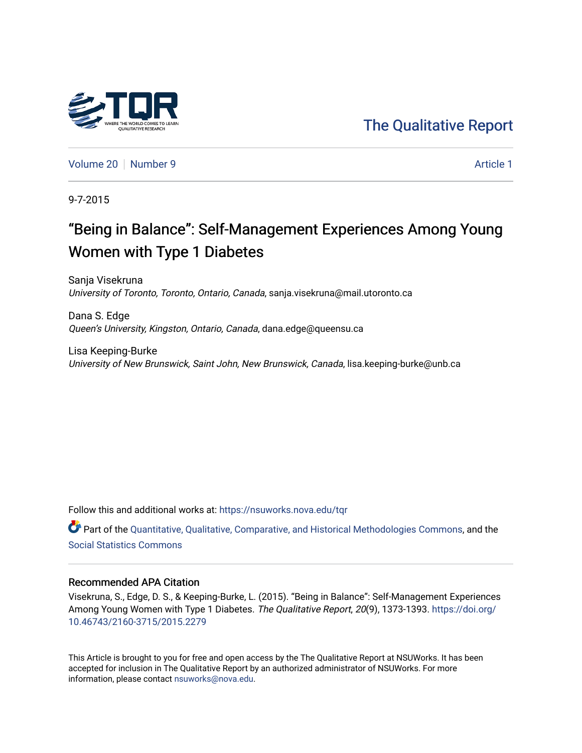# [The Qualitative Report](https://nsuworks.nova.edu/tqr)

[Volume 20](https://nsuworks.nova.edu/tqr/vol20) [Number 9](https://nsuworks.nova.edu/tqr/vol20/iss9) [Article 1](https://nsuworks.nova.edu/tqr/vol20/iss9/1) Article 1

9-7-2015

# "Being in Balance": Self-Management Experiences Among Young Women with Type 1 Diabetes

Sanja Visekruna University of Toronto, Toronto, Ontario, Canada, sanja.visekruna@mail.utoronto.ca

Dana S. Edge Queen's University, Kingston, Ontario, Canada, dana.edge@queensu.ca

Lisa Keeping-Burke University of New Brunswick, Saint John, New Brunswick, Canada, lisa.keeping-burke@unb.ca

Follow this and additional works at: [https://nsuworks.nova.edu/tqr](https://nsuworks.nova.edu/tqr?utm_source=nsuworks.nova.edu%2Ftqr%2Fvol20%2Fiss9%2F1&utm_medium=PDF&utm_campaign=PDFCoverPages) 

Part of the [Quantitative, Qualitative, Comparative, and Historical Methodologies Commons,](http://network.bepress.com/hgg/discipline/423?utm_source=nsuworks.nova.edu%2Ftqr%2Fvol20%2Fiss9%2F1&utm_medium=PDF&utm_campaign=PDFCoverPages) and the [Social Statistics Commons](http://network.bepress.com/hgg/discipline/1275?utm_source=nsuworks.nova.edu%2Ftqr%2Fvol20%2Fiss9%2F1&utm_medium=PDF&utm_campaign=PDFCoverPages) 

#### Recommended APA Citation

Visekruna, S., Edge, D. S., & Keeping-Burke, L. (2015). "Being in Balance": Self-Management Experiences Among Young Women with Type 1 Diabetes. The Qualitative Report, 20(9), 1373-1393. [https://doi.org/](https://doi.org/10.46743/2160-3715/2015.2279) [10.46743/2160-3715/2015.2279](https://doi.org/10.46743/2160-3715/2015.2279)

This Article is brought to you for free and open access by the The Qualitative Report at NSUWorks. It has been accepted for inclusion in The Qualitative Report by an authorized administrator of NSUWorks. For more information, please contact [nsuworks@nova.edu.](mailto:nsuworks@nova.edu)

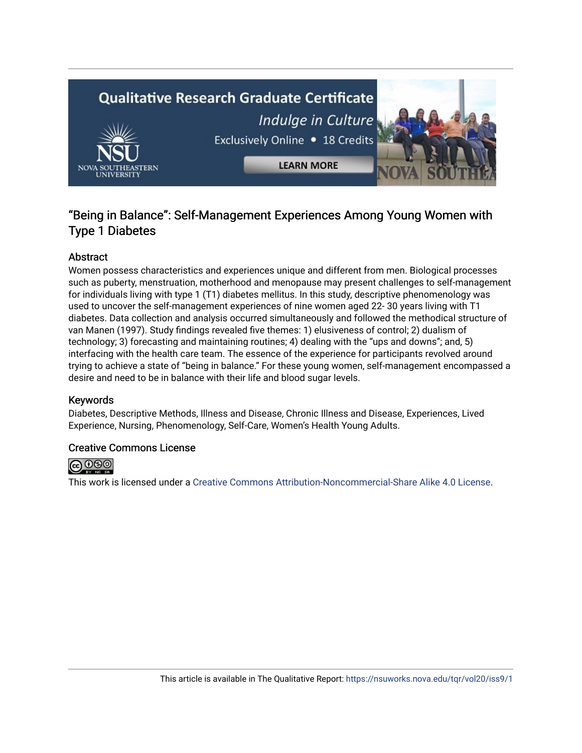

# "Being in Balance": Self-Management Experiences Among Young Women with Type 1 Diabetes

# Abstract

Women possess characteristics and experiences unique and different from men. Biological processes such as puberty, menstruation, motherhood and menopause may present challenges to self-management for individuals living with type 1 (T1) diabetes mellitus. In this study, descriptive phenomenology was used to uncover the self-management experiences of nine women aged 22- 30 years living with T1 diabetes. Data collection and analysis occurred simultaneously and followed the methodical structure of van Manen (1997). Study findings revealed five themes: 1) elusiveness of control; 2) dualism of technology; 3) forecasting and maintaining routines; 4) dealing with the "ups and downs"; and, 5) interfacing with the health care team. The essence of the experience for participants revolved around trying to achieve a state of "being in balance." For these young women, self-management encompassed a desire and need to be in balance with their life and blood sugar levels.

# Keywords

Diabetes, Descriptive Methods, Illness and Disease, Chronic Illness and Disease, Experiences, Lived Experience, Nursing, Phenomenology, Self-Care, Women's Health Young Adults.

#### Creative Commons License



This work is licensed under a [Creative Commons Attribution-Noncommercial-Share Alike 4.0 License](https://creativecommons.org/licenses/by-nc-sa/4.0/).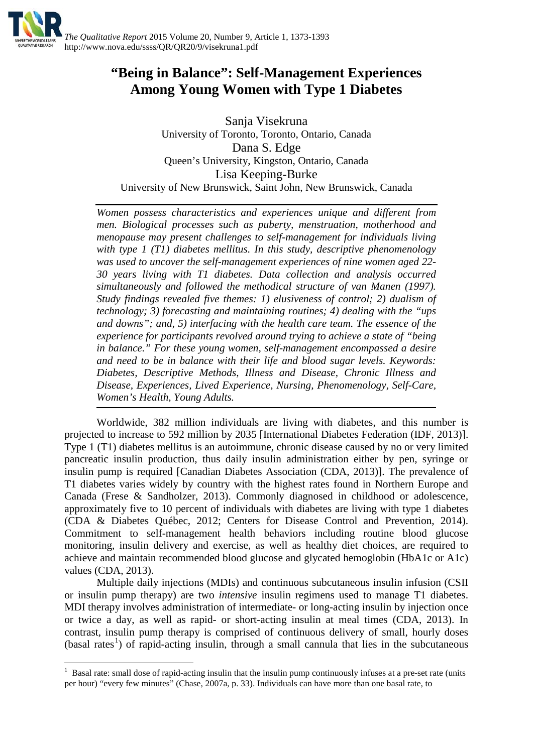

# **"Being in Balance": Self-Management Experiences Among Young Women with Type 1 Diabetes**

Sanja Visekruna University of Toronto, Toronto, Ontario, Canada Dana S. Edge Queen's University, Kingston, Ontario, Canada Lisa Keeping-Burke University of New Brunswick, Saint John, New Brunswick, Canada

*Women possess characteristics and experiences unique and different from men. Biological processes such as puberty, menstruation, motherhood and menopause may present challenges to self-management for individuals living with type 1 (T1) diabetes mellitus. In this study, descriptive phenomenology was used to uncover the self-management experiences of nine women aged 22- 30 years living with T1 diabetes. Data collection and analysis occurred simultaneously and followed the methodical structure of van Manen (1997). Study findings revealed five themes: 1) elusiveness of control; 2) dualism of technology; 3) forecasting and maintaining routines; 4) dealing with the "ups and downs"; and, 5) interfacing with the health care team. The essence of the experience for participants revolved around trying to achieve a state of "being in balance." For these young women, self-management encompassed a desire and need to be in balance with their life and blood sugar levels. Keywords: Diabetes, Descriptive Methods, Illness and Disease, Chronic Illness and Disease, Experiences, Lived Experience, Nursing, Phenomenology, Self-Care, Women's Health, Young Adults.*

Worldwide, 382 million individuals are living with diabetes, and this number is projected to increase to 592 million by 2035 [International Diabetes Federation (IDF, 2013)]. Type 1 (T1) diabetes mellitus is an autoimmune, chronic disease caused by no or very limited pancreatic insulin production, thus daily insulin administration either by pen, syringe or insulin pump is required [Canadian Diabetes Association (CDA, 2013)]. The prevalence of T1 diabetes varies widely by country with the highest rates found in Northern Europe and Canada (Frese & Sandholzer, 2013). Commonly diagnosed in childhood or adolescence, approximately five to 10 percent of individuals with diabetes are living with type 1 diabetes (CDA & Diabetes Québec, 2012; Centers for Disease Control and Prevention, 2014). Commitment to self-management health behaviors including routine blood glucose monitoring, insulin delivery and exercise, as well as healthy diet choices, are required to achieve and maintain recommended blood glucose and glycated hemoglobin (HbA1c or A1c) values (CDA, 2013).

Multiple daily injections (MDIs) and continuous subcutaneous insulin infusion (CSII or insulin pump therapy) are two *intensive* insulin regimens used to manage T1 diabetes. MDI therapy involves administration of intermediate- or long-acting insulin by injection once or twice a day, as well as rapid- or short-acting insulin at meal times (CDA, 2013). In contrast, insulin pump therapy is comprised of continuous delivery of small, hourly doses (basal rates<sup>[1](#page-2-0)</sup>) of rapid-acting insulin, through a small cannula that lies in the subcutaneous

<span id="page-2-0"></span><sup>1</sup> Basal rate: small dose of rapid-acting insulin that the insulin pump continuously infuses at a pre-set rate (units per hour) "every few minutes" (Chase, 2007a, p. 33). Individuals can have more than one basal rate, to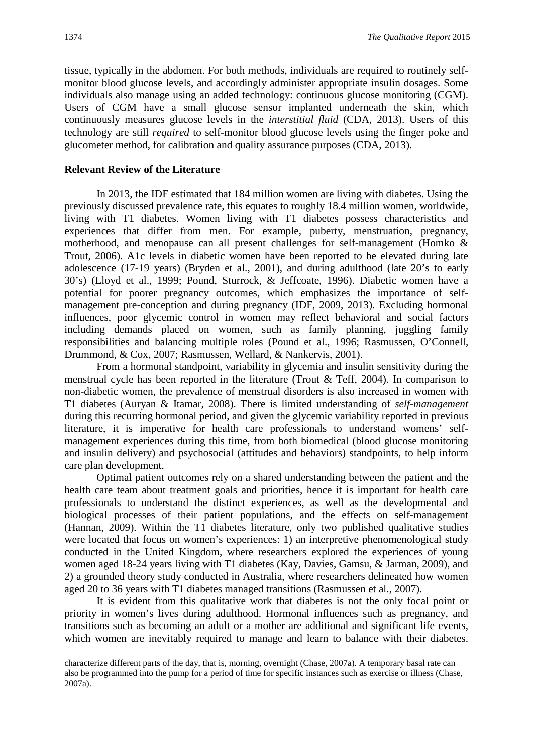tissue, typically in the abdomen. For both methods, individuals are required to routinely selfmonitor blood glucose levels, and accordingly administer appropriate insulin dosages. Some individuals also manage using an added technology: continuous glucose monitoring (CGM). Users of CGM have a small glucose sensor implanted underneath the skin, which continuously measures glucose levels in the *interstitial fluid* (CDA, 2013). Users of this technology are still *required* to self-monitor blood glucose levels using the finger poke and glucometer method, for calibration and quality assurance purposes (CDA, 2013).

#### **Relevant Review of the Literature**

In 2013, the IDF estimated that 184 million women are living with diabetes. Using the previously discussed prevalence rate, this equates to roughly 18.4 million women, worldwide, living with T1 diabetes. Women living with T1 diabetes possess characteristics and experiences that differ from men. For example, puberty, menstruation, pregnancy, motherhood, and menopause can all present challenges for self-management (Homko & Trout, 2006). A1c levels in diabetic women have been reported to be elevated during late adolescence (17-19 years) (Bryden et al., 2001), and during adulthood (late 20's to early 30's) (Lloyd et al., 1999; Pound, Sturrock, & Jeffcoate, 1996). Diabetic women have a potential for poorer pregnancy outcomes, which emphasizes the importance of selfmanagement pre-conception and during pregnancy (IDF, 2009, 2013). Excluding hormonal influences, poor glycemic control in women may reflect behavioral and social factors including demands placed on women, such as family planning, juggling family responsibilities and balancing multiple roles (Pound et al., 1996; Rasmussen, O'Connell, Drummond, & Cox, 2007; Rasmussen, Wellard, & Nankervis, 2001).

From a hormonal standpoint, variability in glycemia and insulin sensitivity during the menstrual cycle has been reported in the literature (Trout & Teff, 2004). In comparison to non-diabetic women, the prevalence of menstrual disorders is also increased in women with T1 diabetes (Auryan & Itamar, 2008). There is limited understanding of *self-management*  during this recurring hormonal period, and given the glycemic variability reported in previous literature, it is imperative for health care professionals to understand womens' selfmanagement experiences during this time, from both biomedical (blood glucose monitoring and insulin delivery) and psychosocial (attitudes and behaviors) standpoints, to help inform care plan development.

Optimal patient outcomes rely on a shared understanding between the patient and the health care team about treatment goals and priorities, hence it is important for health care professionals to understand the distinct experiences, as well as the developmental and biological processes of their patient populations, and the effects on self-management (Hannan, 2009). Within the T1 diabetes literature, only two published qualitative studies were located that focus on women's experiences: 1) an interpretive phenomenological study conducted in the United Kingdom, where researchers explored the experiences of young women aged 18-24 years living with T1 diabetes (Kay, Davies, Gamsu, & Jarman, 2009), and 2) a grounded theory study conducted in Australia, where researchers delineated how women aged 20 to 36 years with T1 diabetes managed transitions (Rasmussen et al., 2007).

It is evident from this qualitative work that diabetes is not the only focal point or priority in women's lives during adulthood. Hormonal influences such as pregnancy, and transitions such as becoming an adult or a mother are additional and significant life events, which women are inevitably required to manage and learn to balance with their diabetes.

**.** 

characterize different parts of the day, that is, morning, overnight (Chase, 2007a). A temporary basal rate can also be programmed into the pump for a period of time for specific instances such as exercise or illness (Chase, 2007a).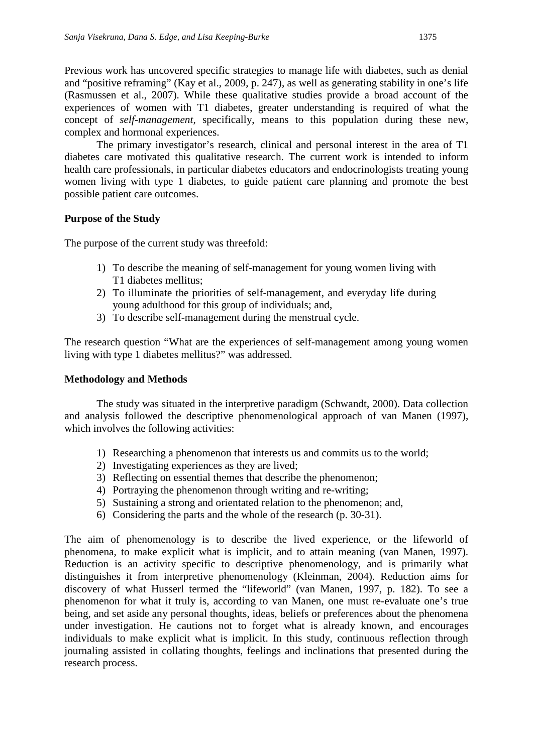Previous work has uncovered specific strategies to manage life with diabetes, such as denial and "positive reframing" (Kay et al., 2009, p. 247), as well as generating stability in one's life (Rasmussen et al., 2007). While these qualitative studies provide a broad account of the experiences of women with T1 diabetes, greater understanding is required of what the concept of *self-management*, specifically, means to this population during these new, complex and hormonal experiences.

The primary investigator's research, clinical and personal interest in the area of T1 diabetes care motivated this qualitative research. The current work is intended to inform health care professionals, in particular diabetes educators and endocrinologists treating young women living with type 1 diabetes, to guide patient care planning and promote the best possible patient care outcomes.

# **Purpose of the Study**

The purpose of the current study was threefold:

- 1) To describe the meaning of self-management for young women living with T1 diabetes mellitus;
- 2) To illuminate the priorities of self-management, and everyday life during young adulthood for this group of individuals; and,
- 3) To describe self-management during the menstrual cycle.

The research question "What are the experiences of self-management among young women living with type 1 diabetes mellitus?" was addressed.

#### **Methodology and Methods**

The study was situated in the interpretive paradigm (Schwandt, 2000). Data collection and analysis followed the descriptive phenomenological approach of van Manen (1997), which involves the following activities:

- 1) Researching a phenomenon that interests us and commits us to the world;
- 2) Investigating experiences as they are lived;
- 3) Reflecting on essential themes that describe the phenomenon;
- 4) Portraying the phenomenon through writing and re-writing;
- 5) Sustaining a strong and orientated relation to the phenomenon; and,
- 6) Considering the parts and the whole of the research (p. 30-31).

The aim of phenomenology is to describe the lived experience, or the lifeworld of phenomena, to make explicit what is implicit, and to attain meaning (van Manen, 1997). Reduction is an activity specific to descriptive phenomenology, and is primarily what distinguishes it from interpretive phenomenology (Kleinman, 2004). Reduction aims for discovery of what Husserl termed the "lifeworld" (van Manen, 1997, p. 182). To see a phenomenon for what it truly is, according to van Manen, one must re-evaluate one's true being, and set aside any personal thoughts, ideas, beliefs or preferences about the phenomena under investigation. He cautions not to forget what is already known, and encourages individuals to make explicit what is implicit. In this study, continuous reflection through journaling assisted in collating thoughts, feelings and inclinations that presented during the research process.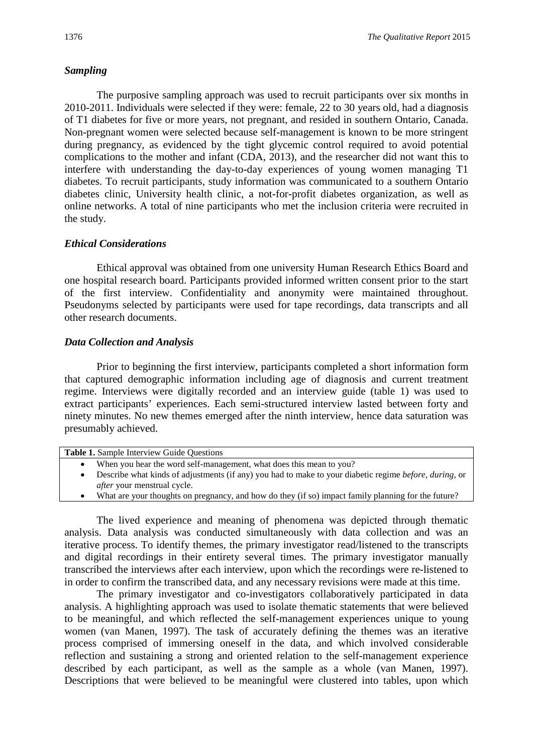### *Sampling*

The purposive sampling approach was used to recruit participants over six months in 2010-2011. Individuals were selected if they were: female, 22 to 30 years old, had a diagnosis of T1 diabetes for five or more years, not pregnant, and resided in southern Ontario, Canada. Non-pregnant women were selected because self-management is known to be more stringent during pregnancy, as evidenced by the tight glycemic control required to avoid potential complications to the mother and infant (CDA, 2013), and the researcher did not want this to interfere with understanding the day-to-day experiences of young women managing T1 diabetes. To recruit participants, study information was communicated to a southern Ontario diabetes clinic, University health clinic, a not-for-profit diabetes organization, as well as online networks. A total of nine participants who met the inclusion criteria were recruited in the study.

# *Ethical Considerations*

Ethical approval was obtained from one university Human Research Ethics Board and one hospital research board. Participants provided informed written consent prior to the start of the first interview. Confidentiality and anonymity were maintained throughout. Pseudonyms selected by participants were used for tape recordings, data transcripts and all other research documents.

#### *Data Collection and Analysis*

Prior to beginning the first interview, participants completed a short information form that captured demographic information including age of diagnosis and current treatment regime. Interviews were digitally recorded and an interview guide (table 1) was used to extract participants' experiences. Each semi-structured interview lasted between forty and ninety minutes. No new themes emerged after the ninth interview, hence data saturation was presumably achieved.

| <b>Table 1.</b> Sample Interview Guide Questions |                                                                                                        |  |  |
|--------------------------------------------------|--------------------------------------------------------------------------------------------------------|--|--|
|                                                  | When you hear the word self-management, what does this mean to you?                                    |  |  |
|                                                  | Describe what kinds of adjustments (if any) you had to make to your diabetic regime before, during, or |  |  |
|                                                  | <i>after</i> your menstrual cycle.                                                                     |  |  |
|                                                  |                                                                                                        |  |  |

• What are your thoughts on pregnancy, and how do they (if so) impact family planning for the future?

The lived experience and meaning of phenomena was depicted through thematic analysis. Data analysis was conducted simultaneously with data collection and was an iterative process. To identify themes, the primary investigator read/listened to the transcripts and digital recordings in their entirety several times. The primary investigator manually transcribed the interviews after each interview, upon which the recordings were re-listened to in order to confirm the transcribed data, and any necessary revisions were made at this time.

The primary investigator and co-investigators collaboratively participated in data analysis. A highlighting approach was used to isolate thematic statements that were believed to be meaningful, and which reflected the self-management experiences unique to young women (van Manen, 1997). The task of accurately defining the themes was an iterative process comprised of immersing oneself in the data, and which involved considerable reflection and sustaining a strong and oriented relation to the self-management experience described by each participant, as well as the sample as a whole (van Manen, 1997). Descriptions that were believed to be meaningful were clustered into tables, upon which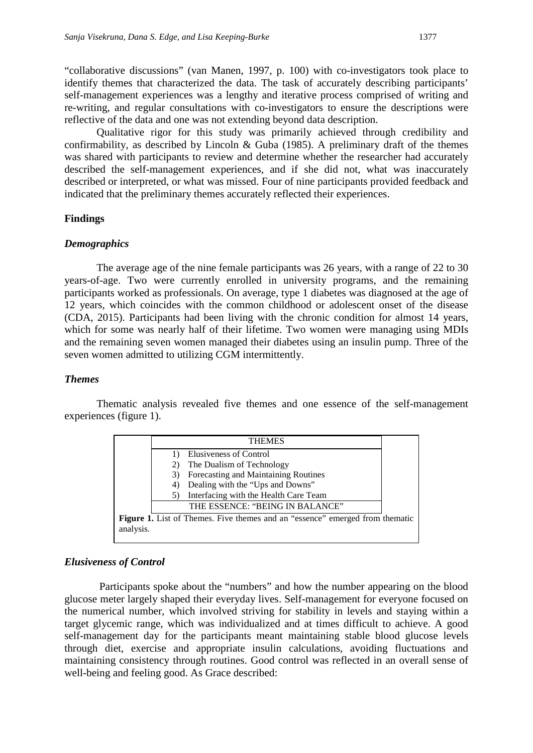"collaborative discussions" (van Manen, 1997, p. 100) with co-investigators took place to identify themes that characterized the data. The task of accurately describing participants' self-management experiences was a lengthy and iterative process comprised of writing and re-writing, and regular consultations with co-investigators to ensure the descriptions were reflective of the data and one was not extending beyond data description.

Qualitative rigor for this study was primarily achieved through credibility and confirmability, as described by Lincoln  $\&$  Guba (1985). A preliminary draft of the themes was shared with participants to review and determine whether the researcher had accurately described the self-management experiences, and if she did not, what was inaccurately described or interpreted, or what was missed. Four of nine participants provided feedback and indicated that the preliminary themes accurately reflected their experiences.

#### **Findings**

#### *Demographics*

The average age of the nine female participants was 26 years, with a range of 22 to 30 years-of-age. Two were currently enrolled in university programs, and the remaining participants worked as professionals. On average, type 1 diabetes was diagnosed at the age of 12 years, which coincides with the common childhood or adolescent onset of the disease (CDA, 2015). Participants had been living with the chronic condition for almost 14 years, which for some was nearly half of their lifetime. Two women were managing using MDIs and the remaining seven women managed their diabetes using an insulin pump. Three of the seven women admitted to utilizing CGM intermittently.

#### *Themes*

Thematic analysis revealed five themes and one essence of the self-management experiences (figure 1).

|                                                                                     | <b>THEMES</b>                         |  |  |
|-------------------------------------------------------------------------------------|---------------------------------------|--|--|
|                                                                                     | <b>Elusiveness of Control</b>         |  |  |
|                                                                                     | The Dualism of Technology             |  |  |
|                                                                                     | Forecasting and Maintaining Routines  |  |  |
|                                                                                     | Dealing with the "Ups and Downs"      |  |  |
|                                                                                     | Interfacing with the Health Care Team |  |  |
|                                                                                     | THE ESSENCE: "BEING IN BALANCE"       |  |  |
| <b>Figure 1.</b> List of Themes. Five themes and an "essence" emerged from thematic |                                       |  |  |
| analysis.                                                                           |                                       |  |  |

#### *Elusiveness of Control*

Participants spoke about the "numbers" and how the number appearing on the blood glucose meter largely shaped their everyday lives. Self-management for everyone focused on the numerical number, which involved striving for stability in levels and staying within a target glycemic range, which was individualized and at times difficult to achieve. A good self-management day for the participants meant maintaining stable blood glucose levels through diet, exercise and appropriate insulin calculations, avoiding fluctuations and maintaining consistency through routines. Good control was reflected in an overall sense of well-being and feeling good. As Grace described: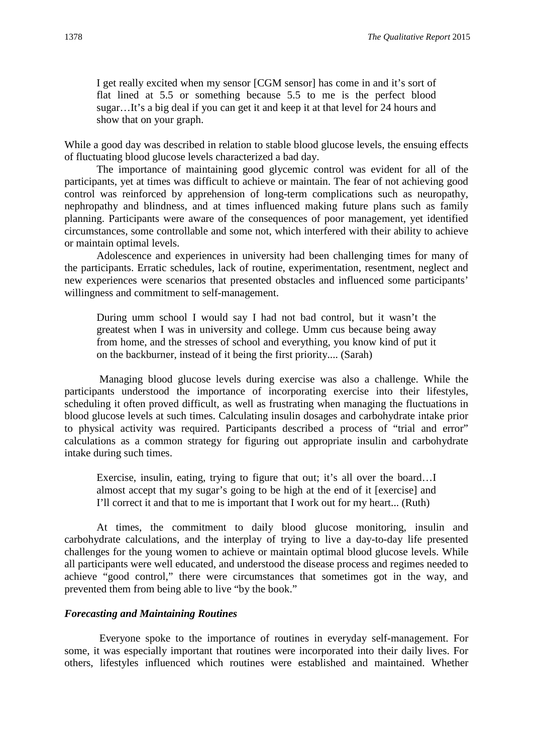I get really excited when my sensor [CGM sensor] has come in and it's sort of flat lined at 5.5 or something because 5.5 to me is the perfect blood sugar…It's a big deal if you can get it and keep it at that level for 24 hours and show that on your graph.

While a good day was described in relation to stable blood glucose levels, the ensuing effects of fluctuating blood glucose levels characterized a bad day.

The importance of maintaining good glycemic control was evident for all of the participants, yet at times was difficult to achieve or maintain. The fear of not achieving good control was reinforced by apprehension of long-term complications such as neuropathy, nephropathy and blindness, and at times influenced making future plans such as family planning. Participants were aware of the consequences of poor management, yet identified circumstances, some controllable and some not, which interfered with their ability to achieve or maintain optimal levels.

Adolescence and experiences in university had been challenging times for many of the participants. Erratic schedules, lack of routine, experimentation, resentment, neglect and new experiences were scenarios that presented obstacles and influenced some participants' willingness and commitment to self-management.

During umm school I would say I had not bad control, but it wasn't the greatest when I was in university and college. Umm cus because being away from home, and the stresses of school and everything, you know kind of put it on the backburner, instead of it being the first priority.... (Sarah)

Managing blood glucose levels during exercise was also a challenge. While the participants understood the importance of incorporating exercise into their lifestyles, scheduling it often proved difficult, as well as frustrating when managing the fluctuations in blood glucose levels at such times. Calculating insulin dosages and carbohydrate intake prior to physical activity was required. Participants described a process of "trial and error" calculations as a common strategy for figuring out appropriate insulin and carbohydrate intake during such times.

Exercise, insulin, eating, trying to figure that out; it's all over the board…I almost accept that my sugar's going to be high at the end of it [exercise] and I'll correct it and that to me is important that I work out for my heart... (Ruth)

At times, the commitment to daily blood glucose monitoring, insulin and carbohydrate calculations, and the interplay of trying to live a day-to-day life presented challenges for the young women to achieve or maintain optimal blood glucose levels. While all participants were well educated, and understood the disease process and regimes needed to achieve "good control," there were circumstances that sometimes got in the way, and prevented them from being able to live "by the book."

#### *Forecasting and Maintaining Routines*

Everyone spoke to the importance of routines in everyday self-management. For some, it was especially important that routines were incorporated into their daily lives. For others, lifestyles influenced which routines were established and maintained. Whether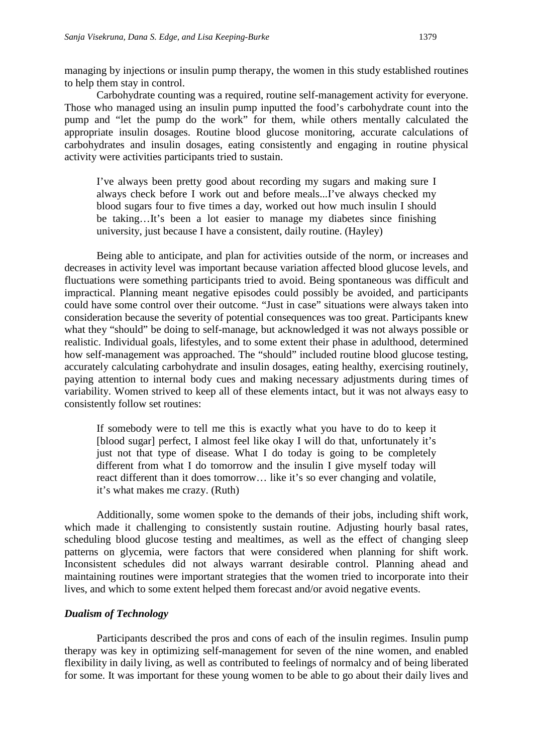managing by injections or insulin pump therapy, the women in this study established routines to help them stay in control.

Carbohydrate counting was a required, routine self-management activity for everyone. Those who managed using an insulin pump inputted the food's carbohydrate count into the pump and "let the pump do the work" for them, while others mentally calculated the appropriate insulin dosages. Routine blood glucose monitoring, accurate calculations of carbohydrates and insulin dosages, eating consistently and engaging in routine physical activity were activities participants tried to sustain.

I've always been pretty good about recording my sugars and making sure I always check before I work out and before meals...I've always checked my blood sugars four to five times a day, worked out how much insulin I should be taking…It's been a lot easier to manage my diabetes since finishing university, just because I have a consistent, daily routine. (Hayley)

Being able to anticipate, and plan for activities outside of the norm, or increases and decreases in activity level was important because variation affected blood glucose levels, and fluctuations were something participants tried to avoid. Being spontaneous was difficult and impractical. Planning meant negative episodes could possibly be avoided, and participants could have some control over their outcome. "Just in case" situations were always taken into consideration because the severity of potential consequences was too great. Participants knew what they "should" be doing to self-manage, but acknowledged it was not always possible or realistic. Individual goals, lifestyles, and to some extent their phase in adulthood, determined how self-management was approached. The "should" included routine blood glucose testing, accurately calculating carbohydrate and insulin dosages, eating healthy, exercising routinely, paying attention to internal body cues and making necessary adjustments during times of variability. Women strived to keep all of these elements intact, but it was not always easy to consistently follow set routines:

If somebody were to tell me this is exactly what you have to do to keep it [blood sugar] perfect, I almost feel like okay I will do that, unfortunately it's just not that type of disease. What I do today is going to be completely different from what I do tomorrow and the insulin I give myself today will react different than it does tomorrow… like it's so ever changing and volatile, it's what makes me crazy. (Ruth)

Additionally, some women spoke to the demands of their jobs, including shift work, which made it challenging to consistently sustain routine. Adjusting hourly basal rates, scheduling blood glucose testing and mealtimes, as well as the effect of changing sleep patterns on glycemia, were factors that were considered when planning for shift work. Inconsistent schedules did not always warrant desirable control. Planning ahead and maintaining routines were important strategies that the women tried to incorporate into their lives, and which to some extent helped them forecast and/or avoid negative events.

### *Dualism of Technology*

Participants described the pros and cons of each of the insulin regimes. Insulin pump therapy was key in optimizing self-management for seven of the nine women, and enabled flexibility in daily living, as well as contributed to feelings of normalcy and of being liberated for some. It was important for these young women to be able to go about their daily lives and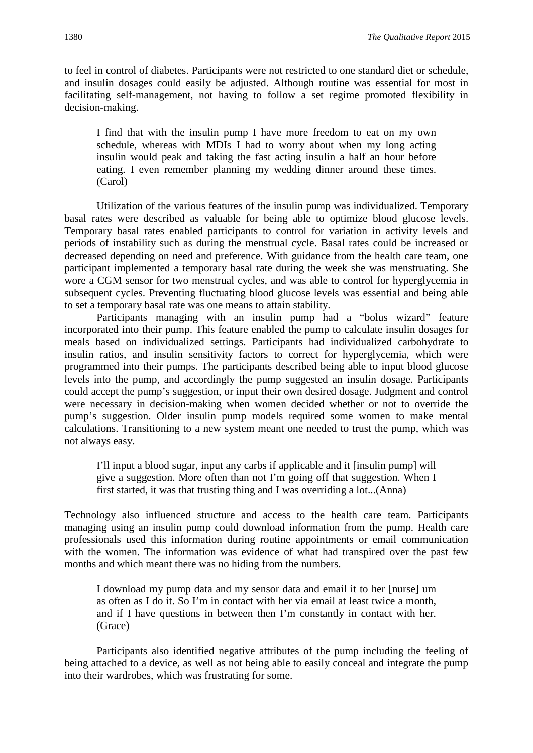to feel in control of diabetes. Participants were not restricted to one standard diet or schedule, and insulin dosages could easily be adjusted. Although routine was essential for most in facilitating self-management, not having to follow a set regime promoted flexibility in decision-making.

I find that with the insulin pump I have more freedom to eat on my own schedule, whereas with MDIs I had to worry about when my long acting insulin would peak and taking the fast acting insulin a half an hour before eating. I even remember planning my wedding dinner around these times. (Carol)

Utilization of the various features of the insulin pump was individualized. Temporary basal rates were described as valuable for being able to optimize blood glucose levels. Temporary basal rates enabled participants to control for variation in activity levels and periods of instability such as during the menstrual cycle. Basal rates could be increased or decreased depending on need and preference. With guidance from the health care team, one participant implemented a temporary basal rate during the week she was menstruating. She wore a CGM sensor for two menstrual cycles, and was able to control for hyperglycemia in subsequent cycles. Preventing fluctuating blood glucose levels was essential and being able to set a temporary basal rate was one means to attain stability.

Participants managing with an insulin pump had a "bolus wizard" feature incorporated into their pump. This feature enabled the pump to calculate insulin dosages for meals based on individualized settings. Participants had individualized carbohydrate to insulin ratios, and insulin sensitivity factors to correct for hyperglycemia, which were programmed into their pumps. The participants described being able to input blood glucose levels into the pump, and accordingly the pump suggested an insulin dosage. Participants could accept the pump's suggestion, or input their own desired dosage. Judgment and control were necessary in decision-making when women decided whether or not to override the pump's suggestion. Older insulin pump models required some women to make mental calculations. Transitioning to a new system meant one needed to trust the pump, which was not always easy.

I'll input a blood sugar, input any carbs if applicable and it [insulin pump] will give a suggestion. More often than not I'm going off that suggestion. When I first started, it was that trusting thing and I was overriding a lot...(Anna)

Technology also influenced structure and access to the health care team. Participants managing using an insulin pump could download information from the pump. Health care professionals used this information during routine appointments or email communication with the women. The information was evidence of what had transpired over the past few months and which meant there was no hiding from the numbers.

I download my pump data and my sensor data and email it to her [nurse] um as often as I do it. So I'm in contact with her via email at least twice a month, and if I have questions in between then I'm constantly in contact with her. (Grace)

Participants also identified negative attributes of the pump including the feeling of being attached to a device, as well as not being able to easily conceal and integrate the pump into their wardrobes, which was frustrating for some.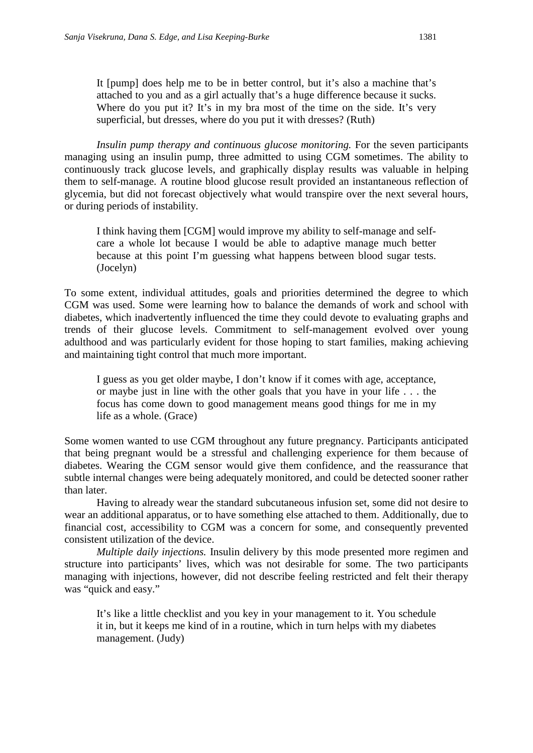It [pump] does help me to be in better control, but it's also a machine that's attached to you and as a girl actually that's a huge difference because it sucks. Where do you put it? It's in my bra most of the time on the side. It's very superficial, but dresses, where do you put it with dresses? (Ruth)

*Insulin pump therapy and continuous glucose monitoring.* For the seven participants managing using an insulin pump, three admitted to using CGM sometimes. The ability to continuously track glucose levels, and graphically display results was valuable in helping them to self-manage. A routine blood glucose result provided an instantaneous reflection of glycemia, but did not forecast objectively what would transpire over the next several hours, or during periods of instability.

I think having them [CGM] would improve my ability to self-manage and selfcare a whole lot because I would be able to adaptive manage much better because at this point I'm guessing what happens between blood sugar tests. (Jocelyn)

To some extent, individual attitudes, goals and priorities determined the degree to which CGM was used. Some were learning how to balance the demands of work and school with diabetes, which inadvertently influenced the time they could devote to evaluating graphs and trends of their glucose levels. Commitment to self-management evolved over young adulthood and was particularly evident for those hoping to start families, making achieving and maintaining tight control that much more important.

I guess as you get older maybe, I don't know if it comes with age, acceptance, or maybe just in line with the other goals that you have in your life . . . the focus has come down to good management means good things for me in my life as a whole. (Grace)

Some women wanted to use CGM throughout any future pregnancy. Participants anticipated that being pregnant would be a stressful and challenging experience for them because of diabetes. Wearing the CGM sensor would give them confidence, and the reassurance that subtle internal changes were being adequately monitored, and could be detected sooner rather than later.

Having to already wear the standard subcutaneous infusion set, some did not desire to wear an additional apparatus, or to have something else attached to them. Additionally, due to financial cost, accessibility to CGM was a concern for some, and consequently prevented consistent utilization of the device.

*Multiple daily injections.* Insulin delivery by this mode presented more regimen and structure into participants' lives, which was not desirable for some. The two participants managing with injections, however, did not describe feeling restricted and felt their therapy was "quick and easy."

It's like a little checklist and you key in your management to it. You schedule it in, but it keeps me kind of in a routine, which in turn helps with my diabetes management. (Judy)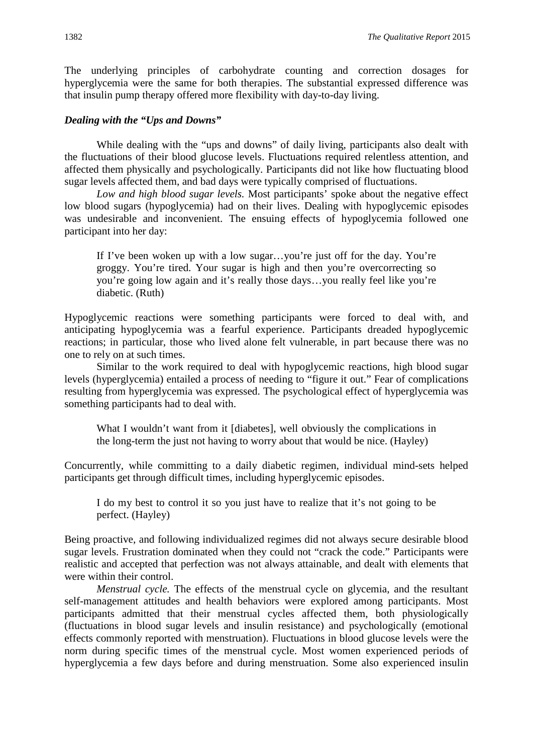The underlying principles of carbohydrate counting and correction dosages for hyperglycemia were the same for both therapies. The substantial expressed difference was that insulin pump therapy offered more flexibility with day-to-day living.

#### *Dealing with the "Ups and Downs"*

While dealing with the "ups and downs" of daily living, participants also dealt with the fluctuations of their blood glucose levels. Fluctuations required relentless attention, and affected them physically and psychologically. Participants did not like how fluctuating blood sugar levels affected them, and bad days were typically comprised of fluctuations.

*Low and high blood sugar levels.* Most participants' spoke about the negative effect low blood sugars (hypoglycemia) had on their lives. Dealing with hypoglycemic episodes was undesirable and inconvenient. The ensuing effects of hypoglycemia followed one participant into her day:

If I've been woken up with a low sugar…you're just off for the day. You're groggy. You're tired. Your sugar is high and then you're overcorrecting so you're going low again and it's really those days…you really feel like you're diabetic. (Ruth)

Hypoglycemic reactions were something participants were forced to deal with, and anticipating hypoglycemia was a fearful experience. Participants dreaded hypoglycemic reactions; in particular, those who lived alone felt vulnerable, in part because there was no one to rely on at such times.

Similar to the work required to deal with hypoglycemic reactions, high blood sugar levels (hyperglycemia) entailed a process of needing to "figure it out." Fear of complications resulting from hyperglycemia was expressed. The psychological effect of hyperglycemia was something participants had to deal with.

What I wouldn't want from it [diabetes], well obviously the complications in the long-term the just not having to worry about that would be nice. (Hayley)

Concurrently, while committing to a daily diabetic regimen, individual mind-sets helped participants get through difficult times, including hyperglycemic episodes.

I do my best to control it so you just have to realize that it's not going to be perfect. (Hayley)

Being proactive, and following individualized regimes did not always secure desirable blood sugar levels. Frustration dominated when they could not "crack the code." Participants were realistic and accepted that perfection was not always attainable, and dealt with elements that were within their control.

*Menstrual cycle.* The effects of the menstrual cycle on glycemia, and the resultant self-management attitudes and health behaviors were explored among participants. Most participants admitted that their menstrual cycles affected them, both physiologically (fluctuations in blood sugar levels and insulin resistance) and psychologically (emotional effects commonly reported with menstruation). Fluctuations in blood glucose levels were the norm during specific times of the menstrual cycle. Most women experienced periods of hyperglycemia a few days before and during menstruation. Some also experienced insulin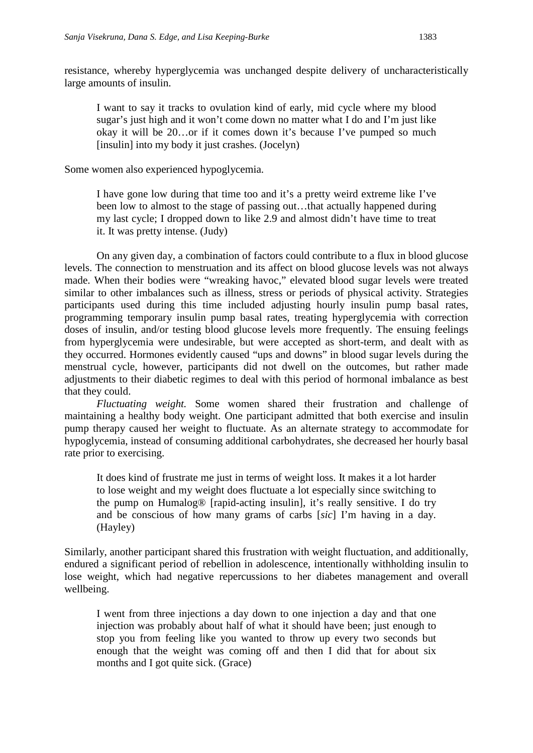resistance, whereby hyperglycemia was unchanged despite delivery of uncharacteristically large amounts of insulin.

I want to say it tracks to ovulation kind of early, mid cycle where my blood sugar's just high and it won't come down no matter what I do and I'm just like okay it will be 20…or if it comes down it's because I've pumped so much [insulin] into my body it just crashes. (Jocelyn)

Some women also experienced hypoglycemia.

I have gone low during that time too and it's a pretty weird extreme like I've been low to almost to the stage of passing out…that actually happened during my last cycle; I dropped down to like 2.9 and almost didn't have time to treat it. It was pretty intense. (Judy)

On any given day, a combination of factors could contribute to a flux in blood glucose levels. The connection to menstruation and its affect on blood glucose levels was not always made. When their bodies were "wreaking havoc," elevated blood sugar levels were treated similar to other imbalances such as illness, stress or periods of physical activity. Strategies participants used during this time included adjusting hourly insulin pump basal rates, programming temporary insulin pump basal rates, treating hyperglycemia with correction doses of insulin, and/or testing blood glucose levels more frequently. The ensuing feelings from hyperglycemia were undesirable, but were accepted as short-term, and dealt with as they occurred. Hormones evidently caused "ups and downs" in blood sugar levels during the menstrual cycle, however, participants did not dwell on the outcomes, but rather made adjustments to their diabetic regimes to deal with this period of hormonal imbalance as best that they could.

*Fluctuating weight.* Some women shared their frustration and challenge of maintaining a healthy body weight. One participant admitted that both exercise and insulin pump therapy caused her weight to fluctuate. As an alternate strategy to accommodate for hypoglycemia, instead of consuming additional carbohydrates, she decreased her hourly basal rate prior to exercising.

It does kind of frustrate me just in terms of weight loss. It makes it a lot harder to lose weight and my weight does fluctuate a lot especially since switching to the pump on Humalog® [rapid-acting insulin], it's really sensitive. I do try and be conscious of how many grams of carbs [*sic*] I'm having in a day. (Hayley)

Similarly, another participant shared this frustration with weight fluctuation, and additionally, endured a significant period of rebellion in adolescence, intentionally withholding insulin to lose weight, which had negative repercussions to her diabetes management and overall wellbeing.

I went from three injections a day down to one injection a day and that one injection was probably about half of what it should have been; just enough to stop you from feeling like you wanted to throw up every two seconds but enough that the weight was coming off and then I did that for about six months and I got quite sick. (Grace)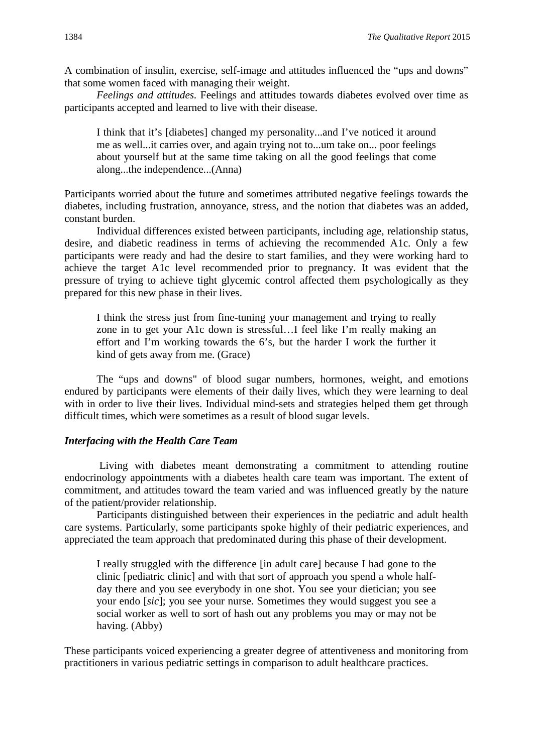A combination of insulin, exercise, self-image and attitudes influenced the "ups and downs" that some women faced with managing their weight.

*Feelings and attitudes.* Feelings and attitudes towards diabetes evolved over time as participants accepted and learned to live with their disease.

I think that it's [diabetes] changed my personality...and I've noticed it around me as well...it carries over, and again trying not to...um take on... poor feelings about yourself but at the same time taking on all the good feelings that come along...the independence...(Anna)

Participants worried about the future and sometimes attributed negative feelings towards the diabetes, including frustration, annoyance, stress, and the notion that diabetes was an added, constant burden.

Individual differences existed between participants, including age, relationship status, desire, and diabetic readiness in terms of achieving the recommended A1c. Only a few participants were ready and had the desire to start families, and they were working hard to achieve the target A1c level recommended prior to pregnancy. It was evident that the pressure of trying to achieve tight glycemic control affected them psychologically as they prepared for this new phase in their lives.

I think the stress just from fine-tuning your management and trying to really zone in to get your A1c down is stressful…I feel like I'm really making an effort and I'm working towards the 6's, but the harder I work the further it kind of gets away from me. (Grace)

The "ups and downs" of blood sugar numbers, hormones, weight, and emotions endured by participants were elements of their daily lives, which they were learning to deal with in order to live their lives. Individual mind-sets and strategies helped them get through difficult times, which were sometimes as a result of blood sugar levels.

#### *Interfacing with the Health Care Team*

Living with diabetes meant demonstrating a commitment to attending routine endocrinology appointments with a diabetes health care team was important. The extent of commitment, and attitudes toward the team varied and was influenced greatly by the nature of the patient/provider relationship.

Participants distinguished between their experiences in the pediatric and adult health care systems. Particularly, some participants spoke highly of their pediatric experiences, and appreciated the team approach that predominated during this phase of their development.

I really struggled with the difference [in adult care] because I had gone to the clinic [pediatric clinic] and with that sort of approach you spend a whole halfday there and you see everybody in one shot. You see your dietician; you see your endo [*sic*]; you see your nurse. Sometimes they would suggest you see a social worker as well to sort of hash out any problems you may or may not be having. (Abby)

These participants voiced experiencing a greater degree of attentiveness and monitoring from practitioners in various pediatric settings in comparison to adult healthcare practices.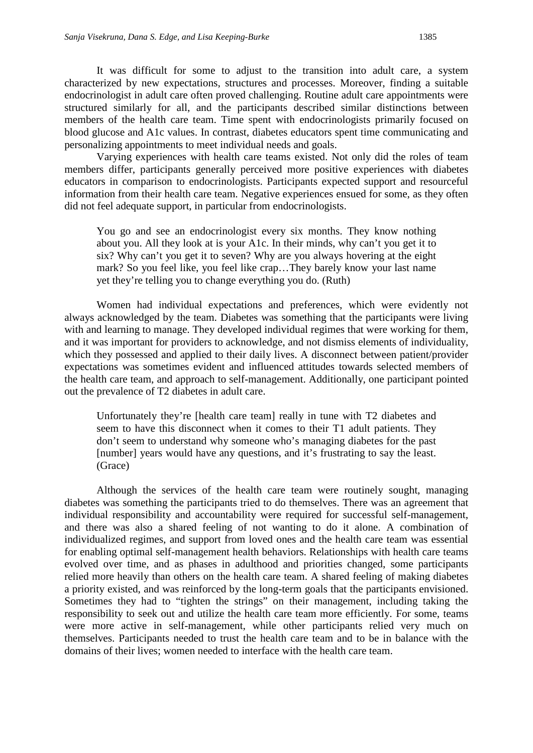It was difficult for some to adjust to the transition into adult care, a system characterized by new expectations, structures and processes. Moreover, finding a suitable endocrinologist in adult care often proved challenging. Routine adult care appointments were structured similarly for all, and the participants described similar distinctions between members of the health care team. Time spent with endocrinologists primarily focused on blood glucose and A1c values. In contrast, diabetes educators spent time communicating and personalizing appointments to meet individual needs and goals.

Varying experiences with health care teams existed. Not only did the roles of team members differ, participants generally perceived more positive experiences with diabetes educators in comparison to endocrinologists. Participants expected support and resourceful information from their health care team. Negative experiences ensued for some, as they often did not feel adequate support, in particular from endocrinologists.

You go and see an endocrinologist every six months. They know nothing about you. All they look at is your A1c. In their minds, why can't you get it to six? Why can't you get it to seven? Why are you always hovering at the eight mark? So you feel like, you feel like crap…They barely know your last name yet they're telling you to change everything you do. (Ruth)

Women had individual expectations and preferences, which were evidently not always acknowledged by the team. Diabetes was something that the participants were living with and learning to manage. They developed individual regimes that were working for them, and it was important for providers to acknowledge, and not dismiss elements of individuality, which they possessed and applied to their daily lives. A disconnect between patient/provider expectations was sometimes evident and influenced attitudes towards selected members of the health care team, and approach to self-management. Additionally, one participant pointed out the prevalence of T2 diabetes in adult care.

Unfortunately they're [health care team] really in tune with T2 diabetes and seem to have this disconnect when it comes to their T1 adult patients. They don't seem to understand why someone who's managing diabetes for the past [number] years would have any questions, and it's frustrating to say the least. (Grace)

Although the services of the health care team were routinely sought, managing diabetes was something the participants tried to do themselves. There was an agreement that individual responsibility and accountability were required for successful self-management, and there was also a shared feeling of not wanting to do it alone. A combination of individualized regimes, and support from loved ones and the health care team was essential for enabling optimal self-management health behaviors. Relationships with health care teams evolved over time, and as phases in adulthood and priorities changed, some participants relied more heavily than others on the health care team. A shared feeling of making diabetes a priority existed, and was reinforced by the long-term goals that the participants envisioned. Sometimes they had to "tighten the strings" on their management, including taking the responsibility to seek out and utilize the health care team more efficiently. For some, teams were more active in self-management, while other participants relied very much on themselves. Participants needed to trust the health care team and to be in balance with the domains of their lives; women needed to interface with the health care team.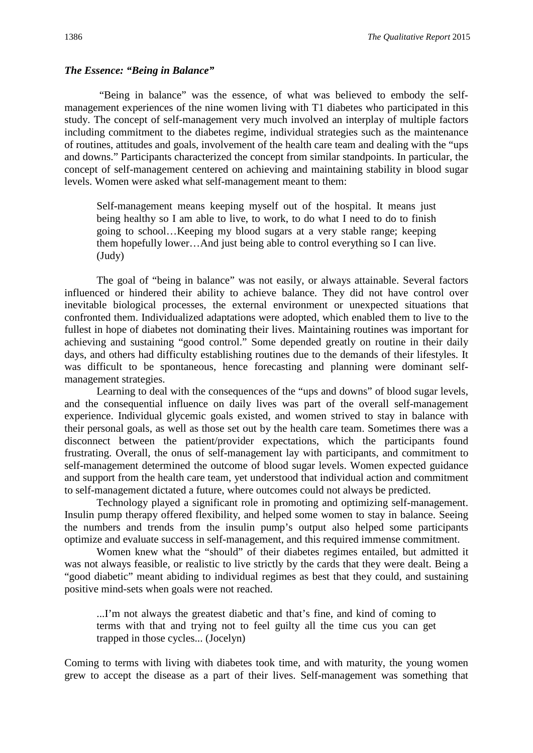#### *The Essence: "Being in Balance"*

"Being in balance" was the essence, of what was believed to embody the selfmanagement experiences of the nine women living with T1 diabetes who participated in this study. The concept of self-management very much involved an interplay of multiple factors including commitment to the diabetes regime, individual strategies such as the maintenance of routines, attitudes and goals, involvement of the health care team and dealing with the "ups and downs." Participants characterized the concept from similar standpoints. In particular, the concept of self-management centered on achieving and maintaining stability in blood sugar levels. Women were asked what self-management meant to them:

Self-management means keeping myself out of the hospital. It means just being healthy so I am able to live, to work, to do what I need to do to finish going to school…Keeping my blood sugars at a very stable range; keeping them hopefully lower…And just being able to control everything so I can live. (Judy)

The goal of "being in balance" was not easily, or always attainable. Several factors influenced or hindered their ability to achieve balance. They did not have control over inevitable biological processes, the external environment or unexpected situations that confronted them. Individualized adaptations were adopted, which enabled them to live to the fullest in hope of diabetes not dominating their lives. Maintaining routines was important for achieving and sustaining "good control." Some depended greatly on routine in their daily days, and others had difficulty establishing routines due to the demands of their lifestyles. It was difficult to be spontaneous, hence forecasting and planning were dominant selfmanagement strategies.

Learning to deal with the consequences of the "ups and downs" of blood sugar levels, and the consequential influence on daily lives was part of the overall self-management experience. Individual glycemic goals existed, and women strived to stay in balance with their personal goals, as well as those set out by the health care team. Sometimes there was a disconnect between the patient/provider expectations, which the participants found frustrating. Overall, the onus of self-management lay with participants, and commitment to self-management determined the outcome of blood sugar levels. Women expected guidance and support from the health care team, yet understood that individual action and commitment to self-management dictated a future, where outcomes could not always be predicted.

Technology played a significant role in promoting and optimizing self-management. Insulin pump therapy offered flexibility, and helped some women to stay in balance. Seeing the numbers and trends from the insulin pump's output also helped some participants optimize and evaluate success in self-management, and this required immense commitment.

Women knew what the "should" of their diabetes regimes entailed, but admitted it was not always feasible, or realistic to live strictly by the cards that they were dealt. Being a "good diabetic" meant abiding to individual regimes as best that they could, and sustaining positive mind-sets when goals were not reached.

...I'm not always the greatest diabetic and that's fine, and kind of coming to terms with that and trying not to feel guilty all the time cus you can get trapped in those cycles... (Jocelyn)

Coming to terms with living with diabetes took time, and with maturity, the young women grew to accept the disease as a part of their lives. Self-management was something that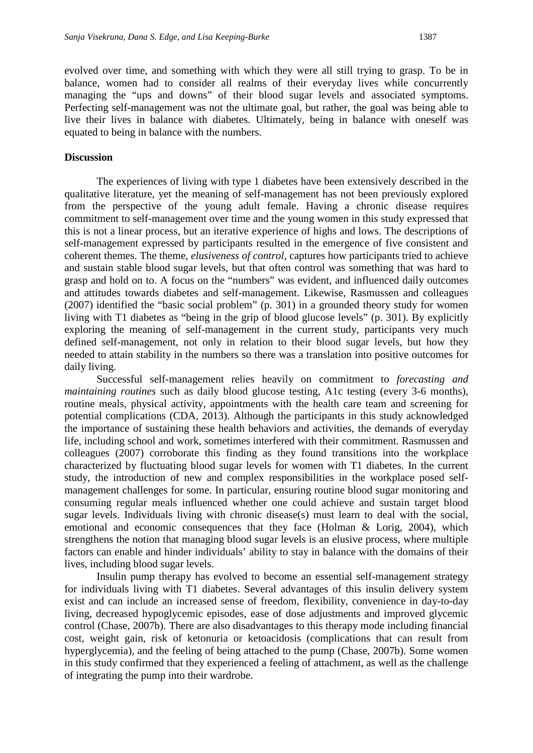evolved over time, and something with which they were all still trying to grasp. To be in balance, women had to consider all realms of their everyday lives while concurrently managing the "ups and downs" of their blood sugar levels and associated symptoms. Perfecting self-management was not the ultimate goal, but rather, the goal was being able to live their lives in balance with diabetes. Ultimately, being in balance with oneself was equated to being in balance with the numbers.

#### **Discussion**

The experiences of living with type 1 diabetes have been extensively described in the qualitative literature, yet the meaning of self-management has not been previously explored from the perspective of the young adult female. Having a chronic disease requires commitment to self-management over time and the young women in this study expressed that this is not a linear process, but an iterative experience of highs and lows. The descriptions of self-management expressed by participants resulted in the emergence of five consistent and coherent themes. The theme, *elusiveness of control*, captures how participants tried to achieve and sustain stable blood sugar levels, but that often control was something that was hard to grasp and hold on to. A focus on the "numbers" was evident, and influenced daily outcomes and attitudes towards diabetes and self-management. Likewise, Rasmussen and colleagues (2007) identified the "basic social problem" (p. 301) in a grounded theory study for women living with T1 diabetes as "being in the grip of blood glucose levels" (p. 301). By explicitly exploring the meaning of self-management in the current study, participants very much defined self-management, not only in relation to their blood sugar levels, but how they needed to attain stability in the numbers so there was a translation into positive outcomes for daily living.

Successful self-management relies heavily on commitment to *forecasting and maintaining routines* such as daily blood glucose testing, A1c testing (every 3-6 months), routine meals, physical activity, appointments with the health care team and screening for potential complications (CDA, 2013). Although the participants in this study acknowledged the importance of sustaining these health behaviors and activities, the demands of everyday life, including school and work, sometimes interfered with their commitment. Rasmussen and colleagues (2007) corroborate this finding as they found transitions into the workplace characterized by fluctuating blood sugar levels for women with T1 diabetes. In the current study, the introduction of new and complex responsibilities in the workplace posed selfmanagement challenges for some. In particular, ensuring routine blood sugar monitoring and consuming regular meals influenced whether one could achieve and sustain target blood sugar levels. Individuals living with chronic disease(s) must learn to deal with the social, emotional and economic consequences that they face (Holman & Lorig, 2004), which strengthens the notion that managing blood sugar levels is an elusive process, where multiple factors can enable and hinder individuals' ability to stay in balance with the domains of their lives, including blood sugar levels.

Insulin pump therapy has evolved to become an essential self-management strategy for individuals living with T1 diabetes. Several advantages of this insulin delivery system exist and can include an increased sense of freedom, flexibility, convenience in day-to-day living, decreased hypoglycemic episodes, ease of dose adjustments and improved glycemic control (Chase, 2007b). There are also disadvantages to this therapy mode including financial cost, weight gain, risk of ketonuria or ketoacidosis (complications that can result from hyperglycemia), and the feeling of being attached to the pump (Chase, 2007b). Some women in this study confirmed that they experienced a feeling of attachment, as well as the challenge of integrating the pump into their wardrobe.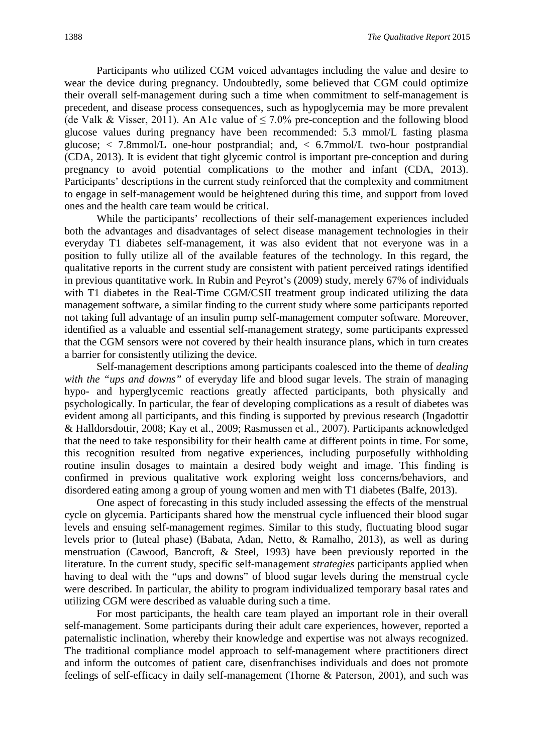Participants who utilized CGM voiced advantages including the value and desire to wear the device during pregnancy. Undoubtedly, some believed that CGM could optimize their overall self-management during such a time when commitment to self-management is precedent, and disease process consequences, such as hypoglycemia may be more prevalent (de Valk & Visser, 2011). An A1c value of  $\leq 7.0\%$  pre-conception and the following blood glucose values during pregnancy have been recommended: 5.3 mmol/L fasting plasma glucose; < 7.8mmol/L one-hour postprandial; and, < 6.7mmol/L two-hour postprandial (CDA, 2013). It is evident that tight glycemic control is important pre-conception and during pregnancy to avoid potential complications to the mother and infant (CDA, 2013). Participants' descriptions in the current study reinforced that the complexity and commitment to engage in self-management would be heightened during this time, and support from loved ones and the health care team would be critical.

While the participants' recollections of their self-management experiences included both the advantages and disadvantages of select disease management technologies in their everyday T1 diabetes self-management, it was also evident that not everyone was in a position to fully utilize all of the available features of the technology. In this regard, the qualitative reports in the current study are consistent with patient perceived ratings identified in previous quantitative work. In Rubin and Peyrot's (2009) study, merely 67% of individuals with T1 diabetes in the Real-Time CGM/CSII treatment group indicated utilizing the data management software, a similar finding to the current study where some participants reported not taking full advantage of an insulin pump self-management computer software. Moreover, identified as a valuable and essential self-management strategy, some participants expressed that the CGM sensors were not covered by their health insurance plans, which in turn creates a barrier for consistently utilizing the device.

Self-management descriptions among participants coalesced into the theme of *dealing with the "ups and downs"* of everyday life and blood sugar levels. The strain of managing hypo- and hyperglycemic reactions greatly affected participants, both physically and psychologically. In particular, the fear of developing complications as a result of diabetes was evident among all participants, and this finding is supported by previous research (Ingadottir & Halldorsdottir, 2008; Kay et al., 2009; Rasmussen et al., 2007). Participants acknowledged that the need to take responsibility for their health came at different points in time. For some, this recognition resulted from negative experiences, including purposefully withholding routine insulin dosages to maintain a desired body weight and image. This finding is confirmed in previous qualitative work exploring weight loss concerns/behaviors, and disordered eating among a group of young women and men with T1 diabetes (Balfe, 2013).

One aspect of forecasting in this study included assessing the effects of the menstrual cycle on glycemia. Participants shared how the menstrual cycle influenced their blood sugar levels and ensuing self-management regimes. Similar to this study, fluctuating blood sugar levels prior to (luteal phase) (Babata, Adan, Netto, & Ramalho, 2013), as well as during menstruation (Cawood, Bancroft, & Steel, 1993) have been previously reported in the literature. In the current study, specific self-management *strategies* participants applied when having to deal with the "ups and downs" of blood sugar levels during the menstrual cycle were described. In particular, the ability to program individualized temporary basal rates and utilizing CGM were described as valuable during such a time.

For most participants, the health care team played an important role in their overall self-management. Some participants during their adult care experiences, however, reported a paternalistic inclination, whereby their knowledge and expertise was not always recognized. The traditional compliance model approach to self-management where practitioners direct and inform the outcomes of patient care, disenfranchises individuals and does not promote feelings of self-efficacy in daily self-management (Thorne & Paterson, 2001), and such was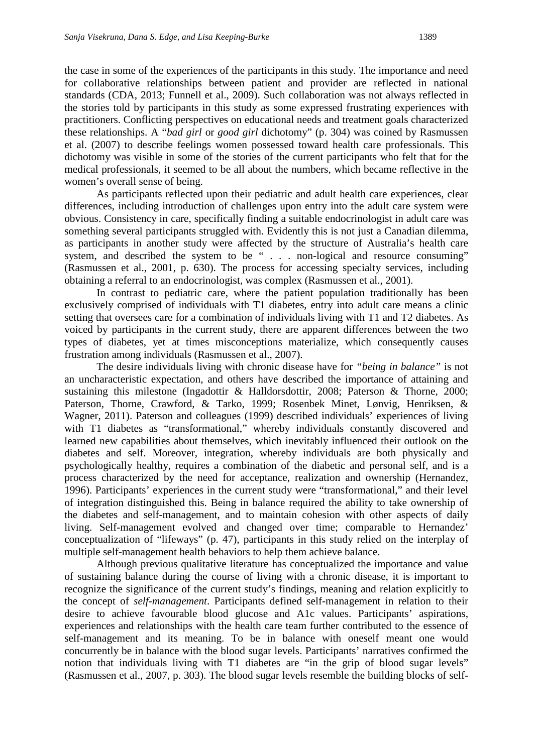the case in some of the experiences of the participants in this study. The importance and need for collaborative relationships between patient and provider are reflected in national standards (CDA, 2013; Funnell et al., 2009). Such collaboration was not always reflected in the stories told by participants in this study as some expressed frustrating experiences with practitioners. Conflicting perspectives on educational needs and treatment goals characterized these relationships. A "*bad girl* or *good girl* dichotomy" (p. 304) was coined by Rasmussen et al. (2007) to describe feelings women possessed toward health care professionals. This dichotomy was visible in some of the stories of the current participants who felt that for the medical professionals, it seemed to be all about the numbers, which became reflective in the women's overall sense of being.

As participants reflected upon their pediatric and adult health care experiences, clear differences, including introduction of challenges upon entry into the adult care system were obvious. Consistency in care, specifically finding a suitable endocrinologist in adult care was something several participants struggled with. Evidently this is not just a Canadian dilemma, as participants in another study were affected by the structure of Australia's health care system, and described the system to be " . . . non-logical and resource consuming" (Rasmussen et al., 2001, p. 630). The process for accessing specialty services, including obtaining a referral to an endocrinologist, was complex (Rasmussen et al., 2001).

In contrast to pediatric care, where the patient population traditionally has been exclusively comprised of individuals with T1 diabetes, entry into adult care means a clinic setting that oversees care for a combination of individuals living with T1 and T2 diabetes. As voiced by participants in the current study, there are apparent differences between the two types of diabetes, yet at times misconceptions materialize, which consequently causes frustration among individuals (Rasmussen et al., 2007).

The desire individuals living with chronic disease have for *"being in balance"* is not an uncharacteristic expectation, and others have described the importance of attaining and sustaining this milestone (Ingadottir & Halldorsdottir, 2008; Paterson & Thorne, 2000; Paterson, Thorne, Crawford, & Tarko, 1999; Rosenbek Minet, Lønvig, Henriksen, & Wagner, 2011). Paterson and colleagues (1999) described individuals' experiences of living with T1 diabetes as "transformational," whereby individuals constantly discovered and learned new capabilities about themselves, which inevitably influenced their outlook on the diabetes and self. Moreover, integration, whereby individuals are both physically and psychologically healthy, requires a combination of the diabetic and personal self, and is a process characterized by the need for acceptance, realization and ownership (Hernandez, 1996). Participants' experiences in the current study were "transformational," and their level of integration distinguished this. Being in balance required the ability to take ownership of the diabetes and self-management, and to maintain cohesion with other aspects of daily living. Self-management evolved and changed over time; comparable to Hernandez' conceptualization of "lifeways" (p. 47), participants in this study relied on the interplay of multiple self-management health behaviors to help them achieve balance.

Although previous qualitative literature has conceptualized the importance and value of sustaining balance during the course of living with a chronic disease, it is important to recognize the significance of the current study's findings, meaning and relation explicitly to the concept of *self-management*. Participants defined self-management in relation to their desire to achieve favourable blood glucose and A1c values. Participants' aspirations, experiences and relationships with the health care team further contributed to the essence of self-management and its meaning. To be in balance with oneself meant one would concurrently be in balance with the blood sugar levels. Participants' narratives confirmed the notion that individuals living with T1 diabetes are "in the grip of blood sugar levels" (Rasmussen et al., 2007, p. 303). The blood sugar levels resemble the building blocks of self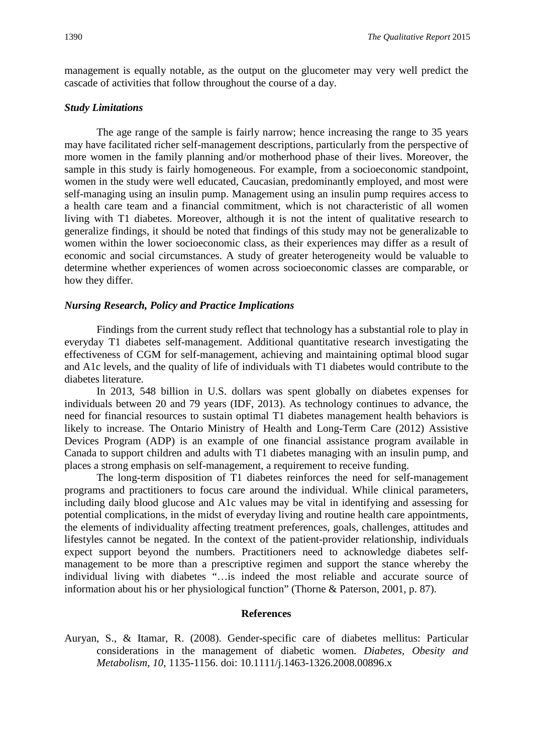management is equally notable, as the output on the glucometer may very well predict the cascade of activities that follow throughout the course of a day.

#### *Study Limitations*

The age range of the sample is fairly narrow; hence increasing the range to 35 years may have facilitated richer self-management descriptions, particularly from the perspective of more women in the family planning and/or motherhood phase of their lives. Moreover, the sample in this study is fairly homogeneous. For example, from a socioeconomic standpoint, women in the study were well educated, Caucasian, predominantly employed, and most were self-managing using an insulin pump. Management using an insulin pump requires access to a health care team and a financial commitment, which is not characteristic of all women living with T1 diabetes. Moreover, although it is not the intent of qualitative research to generalize findings, it should be noted that findings of this study may not be generalizable to women within the lower socioeconomic class, as their experiences may differ as a result of economic and social circumstances. A study of greater heterogeneity would be valuable to determine whether experiences of women across socioeconomic classes are comparable, or how they differ.

#### *Nursing Research, Policy and Practice Implications*

Findings from the current study reflect that technology has a substantial role to play in everyday T1 diabetes self-management. Additional quantitative research investigating the effectiveness of CGM for self-management, achieving and maintaining optimal blood sugar and A1c levels, and the quality of life of individuals with T1 diabetes would contribute to the diabetes literature.

In 2013, 548 billion in U.S. dollars was spent globally on diabetes expenses for individuals between 20 and 79 years (IDF, 2013). As technology continues to advance, the need for financial resources to sustain optimal T1 diabetes management health behaviors is likely to increase. The Ontario Ministry of Health and Long-Term Care (2012) Assistive Devices Program (ADP) is an example of one financial assistance program available in Canada to support children and adults with T1 diabetes managing with an insulin pump, and places a strong emphasis on self-management, a requirement to receive funding.

The long-term disposition of T1 diabetes reinforces the need for self-management programs and practitioners to focus care around the individual. While clinical parameters, including daily blood glucose and A1c values may be vital in identifying and assessing for potential complications, in the midst of everyday living and routine health care appointments, the elements of individuality affecting treatment preferences, goals, challenges, attitudes and lifestyles cannot be negated. In the context of the patient-provider relationship, individuals expect support beyond the numbers. Practitioners need to acknowledge diabetes selfmanagement to be more than a prescriptive regimen and support the stance whereby the individual living with diabetes "…is indeed the most reliable and accurate source of information about his or her physiological function" (Thorne & Paterson, 2001, p. 87).

#### **References**

Auryan, S., & Itamar, R. (2008). Gender-specific care of diabetes mellitus: Particular considerations in the management of diabetic women. *Diabetes, Obesity and Metabolism, 10*, 1135-1156. doi: 10.1111/j.1463-1326.2008.00896.x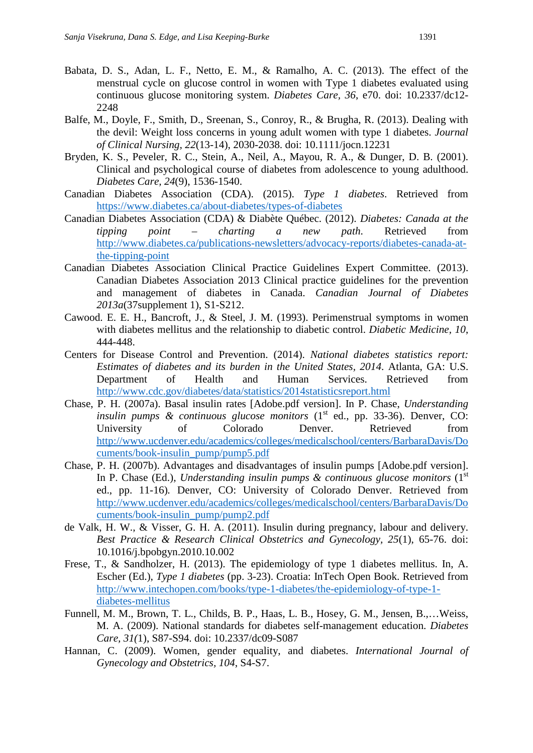- Babata, D. S., Adan, L. F., Netto, E. M., & Ramalho, A. C. (2013). The effect of the menstrual cycle on glucose control in women with Type 1 diabetes evaluated using continuous glucose monitoring system. *Diabetes Care, 36*, e70. doi: 10.2337/dc12- 2248
- Balfe, M., Doyle, F., Smith, D., Sreenan, S., Conroy, R., & Brugha, R. (2013). Dealing with the devil: Weight loss concerns in young adult women with type 1 diabetes. *Journal of Clinical Nursing, 22*(13-14), 2030-2038. doi: 10.1111/jocn.12231
- Bryden, K. S., Peveler, R. C., Stein, A., Neil, A., Mayou, R. A., & Dunger, D. B. (2001). Clinical and psychological course of diabetes from adolescence to young adulthood. *Diabetes Care, 24*(9), 1536-1540.
- Canadian Diabetes Association (CDA). (2015). *Type 1 diabetes*. Retrieved from <https://www.diabetes.ca/about-diabetes/types-of-diabetes>
- Canadian Diabetes Association (CDA) & Diabète Québec. (2012). *Diabetes: Canada at the tipping point – charting a new path*. Retrieved from [http://www.diabetes.ca/publications-newsletters/advocacy-reports/diabetes-canada-at](http://www.diabetes.ca/publications-newsletters/advocacy-reports/diabetes-canada-at-the-tipping-point)[the-tipping-point](http://www.diabetes.ca/publications-newsletters/advocacy-reports/diabetes-canada-at-the-tipping-point)
- Canadian Diabetes Association Clinical Practice Guidelines Expert Committee. (2013). Canadian Diabetes Association 2013 Clinical practice guidelines for the prevention and management of diabetes in Canada. *Canadian Journal of Diabetes 2013a*(37supplement 1), S1-S212.
- Cawood. E. E. H., Bancroft, J., & Steel, J. M. (1993). Perimenstrual symptoms in women with diabetes mellitus and the relationship to diabetic control. *Diabetic Medicine, 10*, 444-448.
- Centers for Disease Control and Prevention. (2014). *National diabetes statistics report: Estimates of diabetes and its burden in the United States, 2014*. Atlanta, GA: U.S. Department of Health and Human Services. Retrieved from <http://www.cdc.gov/diabetes/data/statistics/2014statisticsreport.html>
- Chase, P. H. (2007a). Basal insulin rates [Adobe.pdf version]. In P. Chase, *Understanding insulin pumps & continuous glucose monitors* (1<sup>st</sup> ed., pp. 33-36). Denver, CO: University of Colorado Denver. Retrieved from [http://www.ucdenver.edu/academics/colleges/medicalschool/centers/BarbaraDavis/Do](http://www.ucdenver.edu/academics/colleges/medicalschool/centers/BarbaraDavis/Documents/book-insulin_pump/pump5.pdf) [cuments/book-insulin\\_pump/pump5.pdf](http://www.ucdenver.edu/academics/colleges/medicalschool/centers/BarbaraDavis/Documents/book-insulin_pump/pump5.pdf)
- Chase, P. H. (2007b). Advantages and disadvantages of insulin pumps [Adobe.pdf version]. In P. Chase (Ed.), *Understanding insulin pumps & continuous glucose monitors*  $(1<sup>st</sup>)$ ed., pp. 11-16)*.* Denver, CO: University of Colorado Denver. Retrieved from [http://www.ucdenver.edu/academics/colleges/medicalschool/centers/BarbaraDavis/Do](http://www.ucdenver.edu/academics/colleges/medicalschool/centers/BarbaraDavis/Documents/book-insulin_pump/pump2.pdf) [cuments/book-insulin\\_pump/pump2.pdf](http://www.ucdenver.edu/academics/colleges/medicalschool/centers/BarbaraDavis/Documents/book-insulin_pump/pump2.pdf)
- de Valk, H. W., & Visser, G. H. A. (2011). Insulin during pregnancy, labour and delivery. *Best Practice & Research Clinical Obstetrics and Gynecology, 25*(1), 65-76. doi: 10.1016/j.bpobgyn.2010.10.002
- Frese, T., & Sandholzer, H. (2013). The epidemiology of type 1 diabetes mellitus. In, A. Escher (Ed.), *Type 1 diabetes* (pp. 3-23). Croatia: InTech Open Book. Retrieved from [http://www.intechopen.com/books/type-1-diabetes/the-epidemiology-of-type-1](http://www.intechopen.com/books/type-1-diabetes/the-epidemiology-of-type-1-diabetes-mellitus) [diabetes-mellitus](http://www.intechopen.com/books/type-1-diabetes/the-epidemiology-of-type-1-diabetes-mellitus)
- Funnell, M. M., Brown, T. L., Childs, B. P., Haas, L. B., Hosey, G. M., Jensen, B.,…Weiss, M. A. (2009). National standards for diabetes self-management education. *Diabetes Care, 31(*1), S87-S94. doi: 10.2337/dc09-S087
- Hannan, C. (2009). Women, gender equality, and diabetes. *International Journal of Gynecology and Obstetrics, 104*, S4-S7.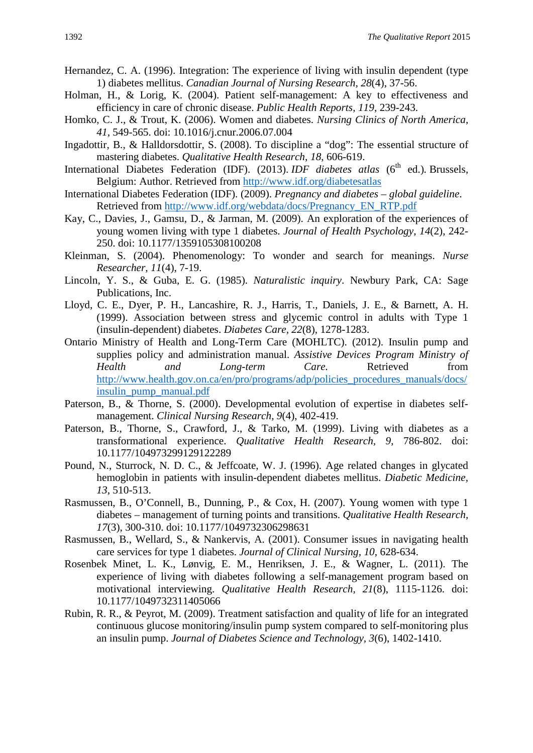- Hernandez, C. A. (1996). Integration: The experience of living with insulin dependent (type 1) diabetes mellitus. *Canadian Journal of Nursing Research, 28*(4), 37-56.
- Holman, H., & Lorig, K. (2004). Patient self-management: A key to effectiveness and efficiency in care of chronic disease. *Public Health Reports, 119*, 239-243.
- Homko, C. J., & Trout, K. (2006). Women and diabetes. *Nursing Clinics of North America, 41,* 549-565. doi: 10.1016/j.cnur.2006.07.004
- Ingadottir, B., & Halldorsdottir, S. (2008). To discipline a "dog": The essential structure of mastering diabetes. *Qualitative Health Research, 18*, 606-619.
- International Diabetes Federation (IDF). (2013). *IDF diabetes atlas* (6<sup>th</sup> ed.). Brussels, Belgium: Author. Retrieved from <http://www.idf.org/diabetesatlas>
- International Diabetes Federation (IDF). (2009). *Pregnancy and diabetes – global guideline*. Retrieved from [http://www.idf.org/webdata/docs/Pregnancy\\_EN\\_RTP.pdf](http://www.idf.org/webdata/docs/Pregnancy_EN_RTP.pdf)
- Kay, C., Davies, J., Gamsu, D., & Jarman, M. (2009). An exploration of the experiences of young women living with type 1 diabetes. *Journal of Health Psychology, 14*(2), 242- 250. doi: 10.1177/1359105308100208
- Kleinman, S. (2004). Phenomenology: To wonder and search for meanings. *Nurse Researcher, 11*(4), 7-19.
- Lincoln, Y. S., & Guba, E. G. (1985). *Naturalistic inquiry*. Newbury Park, CA: Sage Publications, Inc.
- Lloyd, C. E., Dyer, P. H., Lancashire, R. J., Harris, T., Daniels, J. E., & Barnett, A. H. (1999). Association between stress and glycemic control in adults with Type 1 (insulin-dependent) diabetes. *Diabetes Care, 22*(8), 1278-1283.
- Ontario Ministry of Health and Long-Term Care (MOHLTC). (2012). Insulin pump and supplies policy and administration manual. *Assistive Devices Program Ministry of Health and Long-term Care.* Retrieved from [http://www.health.gov.on.ca/en/pro/programs/adp/policies\\_procedures\\_manuals/docs/](http://www.health.gov.on.ca/en/pro/programs/adp/policies_procedures_manuals/docs/insulin_pump_manual.pdf) [insulin\\_pump\\_manual.pdf](http://www.health.gov.on.ca/en/pro/programs/adp/policies_procedures_manuals/docs/insulin_pump_manual.pdf)
- Paterson, B., & Thorne, S. (2000). Developmental evolution of expertise in diabetes selfmanagement. *Clinical Nursing Research, 9*(4), 402-419.
- Paterson, B., Thorne, S., Crawford, J., & Tarko, M. (1999). Living with diabetes as a transformational experience. *Qualitative Health Research, 9*, 786-802. doi: 10.1177/104973299129122289
- Pound, N., Sturrock, N. D. C., & Jeffcoate, W. J. (1996). Age related changes in glycated hemoglobin in patients with insulin-dependent diabetes mellitus. *Diabetic Medicine, 13*, 510-513.
- Rasmussen, B., O'Connell, B., Dunning, P., & Cox, H. (2007). Young women with type 1 diabetes – management of turning points and transitions. *Qualitative Health Research, 17*(3), 300-310. doi: 10.1177/1049732306298631
- Rasmussen, B., Wellard, S., & Nankervis, A. (2001). Consumer issues in navigating health care services for type 1 diabetes. *Journal of Clinical Nursing, 10*, 628-634.
- Rosenbek Minet, L. K., Lønvig, E. M., Henriksen, J. E., & Wagner, L. (2011). The experience of living with diabetes following a self-management program based on motivational interviewing. *Qualitative Health Research, 21*(8), 1115-1126. doi: 10.1177/1049732311405066
- Rubin, R. R., & Peyrot, M. (2009). Treatment satisfaction and quality of life for an integrated continuous glucose monitoring/insulin pump system compared to self-monitoring plus an insulin pump. *Journal of Diabetes Science and Technology, 3*(6), 1402-1410.